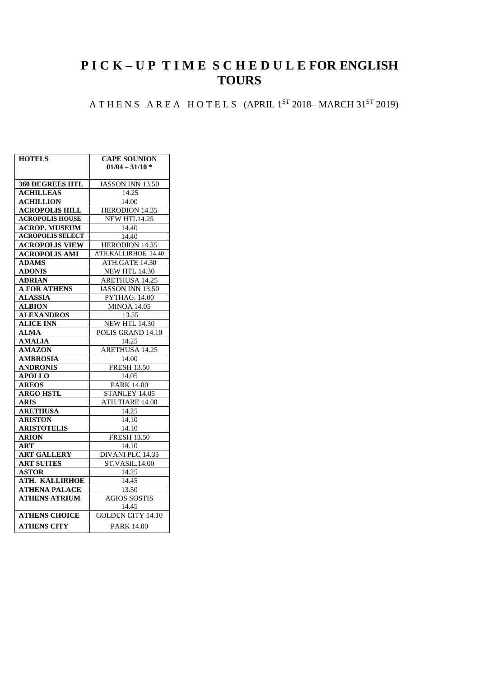## **P I C K – U P T I M E S C H E D U L E FOR ENGLISH TOURS**

## A THENS AREA HOTELS (APRIL 1<sup>ST</sup> 2018–MARCH 31<sup>ST</sup> 2019)

| <b>HOTELS</b>           | <b>CAPE SOUNION</b>      |  |  |
|-------------------------|--------------------------|--|--|
|                         | $01/04 - 31/10$ *        |  |  |
|                         |                          |  |  |
| <b>360 DEGREES HTL</b>  | <b>JASSON INN 13.50</b>  |  |  |
| <b>ACHILLEAS</b>        | 14.25                    |  |  |
| <b>ACHILLION</b>        | 14.00                    |  |  |
| <b>ACROPOLIS HILL</b>   | <b>HERODION 14.35</b>    |  |  |
| <b>ACROPOLIS HOUSE</b>  | NEW HTL14.25             |  |  |
| <b>ACROP. MUSEUM</b>    | 14.40                    |  |  |
| <b>ACROPOLIS SELECT</b> | 14.40                    |  |  |
| <b>ACROPOLIS VIEW</b>   | <b>HERODION 14.35</b>    |  |  |
| <b>ACROPOLIS AMI</b>    | ATH.KALLIRHOE 14.40      |  |  |
| <b>ADAMS</b>            | ATH.GATE 14.30           |  |  |
| <b>ADONIS</b>           | <b>NEW HTL 14.30</b>     |  |  |
| <b>ADRIAN</b>           | <b>ARETHUSA 14.25</b>    |  |  |
| <b>A FOR ATHENS</b>     | <b>JASSON INN 13.50</b>  |  |  |
| <b>ALASSIA</b>          | <b>PYTHAG. 14.00</b>     |  |  |
| <b>ALBION</b>           | <b>MINOA 14.05</b>       |  |  |
| <b>ALEXANDROS</b>       | 13.55                    |  |  |
| <b>ALICE INN</b>        | <b>NEW HTL 14.30</b>     |  |  |
| <b>ALMA</b>             | POLIS GRAND 14.10        |  |  |
| <b>AMALIA</b>           | 14.25                    |  |  |
| <b>AMAZON</b>           | ARETHUSA 14.25           |  |  |
| <b>AMBROSIA</b>         | 14.00                    |  |  |
| <b>ANDRONIS</b>         | <b>FRESH 13.50</b>       |  |  |
| <b>APOLLO</b>           | 14.05                    |  |  |
| <b>AREOS</b>            | <b>PARK 14.00</b>        |  |  |
| <b>ARGO HSTL</b>        | STANLEY 14.05            |  |  |
| <b>ARIS</b>             | ATH.TIARE 14.00          |  |  |
| <b>ARETHUSA</b>         | 14.25                    |  |  |
| <b>ARISTON</b>          | 14.10                    |  |  |
| <b>ARISTOTELIS</b>      | 14.10                    |  |  |
| <b>ARION</b>            | <b>FRESH 13.50</b>       |  |  |
| ART                     | 14.10                    |  |  |
| <b>ART GALLERY</b>      | <b>DIVANI PLC 14.35</b>  |  |  |
| <b>ART SUITES</b>       | ST.VASIL.14.00           |  |  |
| <b>ASTOR</b>            | 14.25                    |  |  |
| <b>ATH. KALLIRHOE</b>   | 14.45                    |  |  |
| ATHENA PALACE           | 13.50                    |  |  |
| <b>ATHENS ATRIUM</b>    | <b>AGIOS SOSTIS</b>      |  |  |
|                         | 14.45                    |  |  |
| <b>ATHENS CHOICE</b>    | <b>GOLDEN CITY 14.10</b> |  |  |
| <b>ATHENS CITY</b>      | <b>PARK 14.00</b>        |  |  |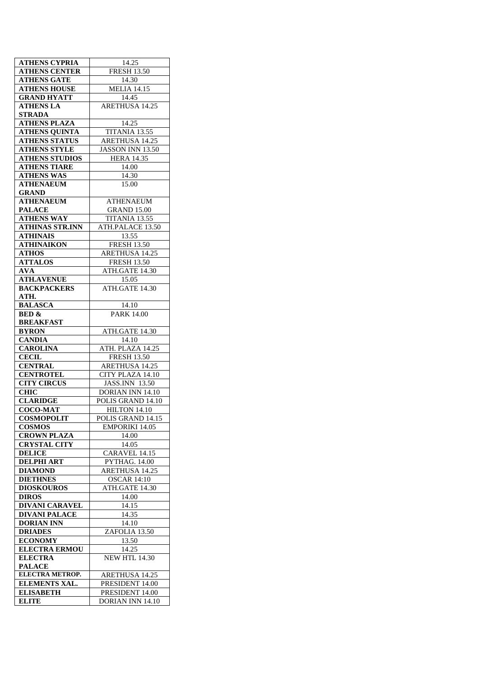| <b>ATHENS CYPRIA</b>             | 14.25                                      |
|----------------------------------|--------------------------------------------|
| <b>ATHENS CENTER</b>             | <b>FRESH 13.50</b>                         |
| <b>ATHENS GATE</b>               | 14.30                                      |
| <b>ATHENS HOUSE</b>              | <b>MELIA 14.15</b>                         |
| <b>GRAND HYATT</b>               | 14.45                                      |
| <b>ATHENS LA</b>                 | <b>ARETHUSA 14.25</b>                      |
| <b>STRADA</b>                    |                                            |
| <b>ATHENS PLAZA</b>              |                                            |
|                                  | 14.25                                      |
| <b>ATHENS QUINTA</b>             | TITANIA 13.55                              |
| <b>ATHENS STATUS</b>             | <b>ARETHUSA 14.25</b>                      |
| <b>ATHENS STYLE</b>              | JASSON INN 13.50                           |
| <b>ATHENS STUDIOS</b>            | <b>HERA 14.35</b>                          |
| <b>ATHENS TIARE</b>              | 14.00                                      |
| <b>ATHENS WAS</b>                | 14.30                                      |
| <b>ATHENAEUM</b>                 | 15.00                                      |
| <b>GRAND</b>                     |                                            |
| <b>ATHENAEUM</b>                 | <b>ATHENAEUM</b>                           |
|                                  |                                            |
| <b>PALACE</b>                    | <b>GRAND 15.00</b>                         |
| <b>ATHENS WAY</b>                | TITANIA 13.55                              |
| <b>ATHINAS STR.INN</b>           | ATH.PALACE 13.50                           |
| <b>ATHINAIS</b>                  | 13.55                                      |
| <b>ATHINAIKON</b>                | <b>FRESH 13.50</b>                         |
| <b>ATHOS</b>                     | <b>ARETHUSA 14.25</b>                      |
| <b>ATTALOS</b>                   | <b>FRESH 13.50</b>                         |
| <b>AVA</b>                       | ATH.GATE 14.30                             |
| <b>ATH.AVENUE</b>                | 15.05                                      |
| <b>BACKPACKERS</b>               | ATH.GATE 14.30                             |
| ATH.                             |                                            |
|                                  |                                            |
| <b>BALASCA</b>                   | 14.10                                      |
| <b>BED &amp;</b>                 | <b>PARK 14.00</b>                          |
| <b>BREAKFAST</b>                 |                                            |
| <b>BYRON</b>                     | ATH.GATE 14.30                             |
| <b>CANDIA</b>                    | 14.10                                      |
| <b>CAROLINA</b>                  | ATH. PLAZA 14.25                           |
| <b>CECIL</b>                     | <b>FRESH 13.50</b>                         |
| <b>CENTRAL</b>                   | <b>ARETHUSA 14.25</b>                      |
| <b>CENTROTEL</b>                 | CITY PLAZA 14.10                           |
| <b>CITY CIRCUS</b>               | JASS.INN 13.50                             |
| $\overline{\text{CHIC}}$         | DORIAN INN 14.10                           |
| <b>CLARIDGE</b>                  | POLIS GRAND 14.10                          |
| <b>COCO-MAT</b>                  | HILTON 14.10                               |
| <b>COSMOPOLIT</b>                | POLIS GRAND 14.15                          |
| <b>COSMOS</b>                    | <b>EMPORIKI 14.05</b>                      |
| <b>CROWN PLAZA</b>               | 14.00                                      |
| <b>CRYSTAL CITY</b>              | 14.05                                      |
| <b>DELICE</b>                    | CARAVEL 14.15                              |
|                                  |                                            |
| <b>DELPHI ART</b>                | PYTHAG. 14.00                              |
| <b>DIAMOND</b>                   | <b>ARETHUSA 14.25</b>                      |
| <b>DIETHNES</b>                  |                                            |
|                                  | <b>OSCAR 14:10</b>                         |
| <b>DIOSKOUROS</b>                | ATH.GATE 14.30                             |
| <b>DIROS</b>                     | 14.00                                      |
| <b>DIVANI CARAVEL</b>            | 14.15                                      |
| <b>DIVANI PALACE</b>             | 14.35                                      |
| <b>DORIAN INN</b>                | 14.10                                      |
| <b>DRIADES</b>                   | ZAFOLIA 13.50                              |
| <b>ECONOMY</b>                   | 13.50                                      |
|                                  |                                            |
| <b>ELECTRA ERMOU</b>             | 14.25                                      |
| <b>ELECTRA</b>                   | <b>NEW HTL 14.30</b>                       |
| <b>PALACE</b>                    |                                            |
| <b>ELECTRA METROP.</b>           | ARETHUSA 14.25                             |
| ELEMENTS XAL.                    | PRESIDENT 14.00                            |
| <b>ELISABETH</b><br><b>ELITE</b> | PRESIDENT 14.00<br><b>DORIAN INN 14.10</b> |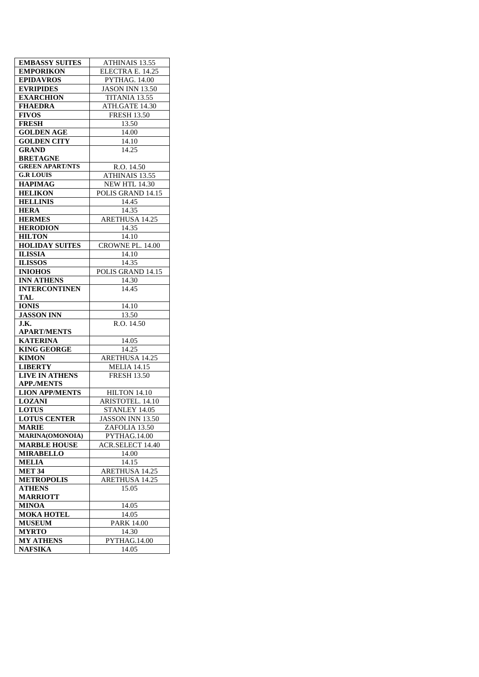| <b>EMBASSY SUITES</b>  | ATHINAIS 13.55          |  |  |
|------------------------|-------------------------|--|--|
| <b>EMPORIKON</b>       | ELECTRA E. 14.25        |  |  |
| EPIDAVROS              | <b>PYTHAG. 14.00</b>    |  |  |
| <b>EVRIPIDES</b>       | <b>JASON INN 13.50</b>  |  |  |
| <b>EXARCHION</b>       | TITANIA 13.55           |  |  |
| <b>FHAEDRA</b>         | ATH.GATE 14.30          |  |  |
| <b>FIVOS</b>           | <b>FRESH 13.50</b>      |  |  |
| <b>FRESH</b>           | 13.50                   |  |  |
| <b>GOLDEN AGE</b>      | 14.00                   |  |  |
| <b>GOLDEN CITY</b>     | 14.10                   |  |  |
| <b>GRAND</b>           | 14.25                   |  |  |
| <b>BRETAGNE</b>        |                         |  |  |
| <b>GREEN APART/NTS</b> | R.O. 14.50              |  |  |
| <b>G.R LOUIS</b>       | ATHINAIS 13.55          |  |  |
| <b>HAPIMAG</b>         | <b>NEW HTL 14.30</b>    |  |  |
| <b>HELIKON</b>         | POLIS GRAND 14.15       |  |  |
| <b>HELLINIS</b>        | 14.45                   |  |  |
| <b>HERA</b>            | 14.35                   |  |  |
| <b>HERMES</b>          | <b>ARETHUSA 14.25</b>   |  |  |
| <b>HERODION</b>        | 14.35                   |  |  |
| <b>HILTON</b>          | 14.10                   |  |  |
|                        |                         |  |  |
| <b>HOLIDAY SUITES</b>  | CROWNE PL. 14.00        |  |  |
| <b>ILISSIA</b>         | 14.10                   |  |  |
| <b>ILISSOS</b>         | 14.35                   |  |  |
| <b>INIOHOS</b>         | POLIS GRAND 14.15       |  |  |
| <b>INN ATHENS</b>      | 14.30                   |  |  |
| <b>INTERCONTINEN</b>   | 14.45                   |  |  |
| TAL                    |                         |  |  |
| <b>IONIS</b>           | 14.10                   |  |  |
| <b>JASSON INN</b>      | 13.50                   |  |  |
| J.K.                   | R.O. 14.50              |  |  |
| <b>APART/MENTS</b>     |                         |  |  |
| <b>KATERINA</b>        | 14.05                   |  |  |
| <b>KING GEORGE</b>     | 14.25                   |  |  |
| <b>KIMON</b>           | ARETHUSA 14.25          |  |  |
| <b>LIBERTY</b>         | <b>MELIA 14.15</b>      |  |  |
| <b>LIVE IN ATHENS</b>  | <b>FRESH 13.50</b>      |  |  |
|                        |                         |  |  |
| <b>APP./MENTS</b>      |                         |  |  |
| <b>LION APP/MENTS</b>  | HILTON 14.10            |  |  |
| <b>LOZANI</b>          | ARISTOTEL. 14.10        |  |  |
| <b>LOTUS</b>           | STANLEY 14.05           |  |  |
| <b>LOTUS CENTER</b>    | JASSON INN 13.50        |  |  |
| <b>MARIE</b>           | ZAFOLIA 13.50           |  |  |
| <b>MARINA(OMONOIA)</b> | PYTHAG.14.00            |  |  |
| <b>MARBLE HOUSE</b>    | <b>ACR.SELECT 14.40</b> |  |  |
| <b>MIRABELLO</b>       | 14.00                   |  |  |
| <b>MELIA</b>           | 14.15                   |  |  |
| <b>MET 34</b>          | ARETHUSA 14.25          |  |  |
| <b>METROPOLIS</b>      | <b>ARETHUSA 14.25</b>   |  |  |
| <b>ATHENS</b>          | 15.05                   |  |  |
| <b>MARRIOTT</b>        |                         |  |  |
| <b>MINOA</b>           | 14.05                   |  |  |
| <b>MOKA HOTEL</b>      | 14.05                   |  |  |
| <b>MUSEUM</b>          | <b>PARK 14.00</b>       |  |  |
| <b>MYRTO</b>           | 14.30                   |  |  |
| <b>MY ATHENS</b>       | PYTHAG.14.00            |  |  |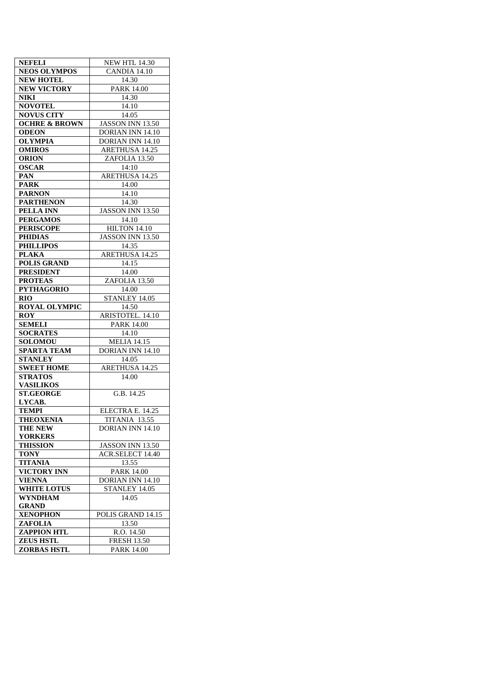| <b>NEFELI</b>            | <b>NEW HTL 14.30</b>      |  |  |
|--------------------------|---------------------------|--|--|
| <b>NEOS OLYMPOS</b>      | CANDIA $14.\overline{10}$ |  |  |
| <b>NEW HOTEL</b>         | 14.30                     |  |  |
| <b>NEW VICTORY</b>       | <b>PARK 14.00</b>         |  |  |
| <b>NIKI</b>              | 14.30                     |  |  |
| <b>NOVOTEL</b>           | 14.10                     |  |  |
| <b>NOVUS CITY</b>        | 14.05                     |  |  |
| <b>OCHRE &amp; BROWN</b> | JASSON INN 13.50          |  |  |
| <b>ODEON</b>             | <b>DORIAN INN 14.10</b>   |  |  |
| <b>OLYMPIA</b>           | DORIAN INN 14.10          |  |  |
| <b>OMIROS</b>            | ARETHUSA 14.25            |  |  |
| <b>ORION</b>             | ZAFOLIA 13.50             |  |  |
| <b>OSCAR</b>             | 14:10                     |  |  |
| PAN                      | <b>ARETHUSA 14.25</b>     |  |  |
| <b>PARK</b>              | 14.00                     |  |  |
| <b>PARNON</b>            | 14.10                     |  |  |
| <b>PARTHENON</b>         | 14.30                     |  |  |
| PELLA INN                | JASSON INN 13.50          |  |  |
| <b>PERGAMOS</b>          | 14.10                     |  |  |
| <b>PERISCOPE</b>         | HILTON 14.10              |  |  |
| <b>PHIDIAS</b>           | <b>JASSON INN 13.50</b>   |  |  |
|                          | 14.35                     |  |  |
| <b>PHILLIPOS</b>         |                           |  |  |
| <b>PLAKA</b>             | ARETHUSA 14.25            |  |  |
| <b>POLIS GRAND</b>       | 14.15                     |  |  |
| <b>PRESIDENT</b>         | 14.00                     |  |  |
| <b>PROTEAS</b>           | ZAFOLIA 13.50             |  |  |
| <b>PYTHAGORIO</b>        | 14.00                     |  |  |
| <b>RIO</b>               | STANLEY 14.05             |  |  |
| <b>ROYAL OLYMPIC</b>     | 14.50                     |  |  |
| <b>ROY</b>               | ARISTOTEL. 14.10          |  |  |
| <b>SEMELI</b>            | <b>PARK 14.00</b>         |  |  |
| <b>SOCRATES</b>          | 14.10                     |  |  |
| <b>SOLOMOU</b>           | MELIA $14.\overline{15}$  |  |  |
| <b>SPARTA TEAM</b>       | <b>DORIAN INN 14.10</b>   |  |  |
| <b>STANLEY</b>           | 14.05                     |  |  |
| <b>SWEET HOME</b>        | ARETHUSA 14.25            |  |  |
| <b>STRATOS</b>           | 14.00                     |  |  |
| <b>VASILIKOS</b>         |                           |  |  |
| <b>ST.GEORGE</b>         | G.B. 14.25                |  |  |
| LYCAB.                   |                           |  |  |
| <b>TEMPI</b>             | ELECTRA E. 14.25          |  |  |
| <b>THEOXENIA</b>         | TITANIA 13.55             |  |  |
| <b>THE NEW</b>           | DORIAN INN 14.10          |  |  |
| <b>YORKERS</b>           |                           |  |  |
| <b>THISSION</b>          | JASSON INN 13.50          |  |  |
| <b>TONY</b>              | <b>ACR.SELECT 14.40</b>   |  |  |
| <b>TITANIA</b>           | 13.55                     |  |  |
| <b>VICTORY INN</b>       | <b>PARK 14.00</b>         |  |  |
| <b>VIENNA</b>            | DORIAN INN 14.10          |  |  |
| <b>WHITE LOTUS</b>       | STANLEY 14.05             |  |  |
| <b>WYNDHAM</b>           | 14.05                     |  |  |
| <b>GRAND</b>             |                           |  |  |
| XENOPHON                 | POLIS GRAND 14.15         |  |  |
| ZAFOLIA                  | 13.50                     |  |  |
| <b>ZAPPION HTL</b>       | R.O. 14.50                |  |  |
| <b>ZEUS HSTL</b>         | <b>FRESH 13.50</b>        |  |  |
| <b>ZORBAS HSTL</b>       | <b>PARK 14.00</b>         |  |  |